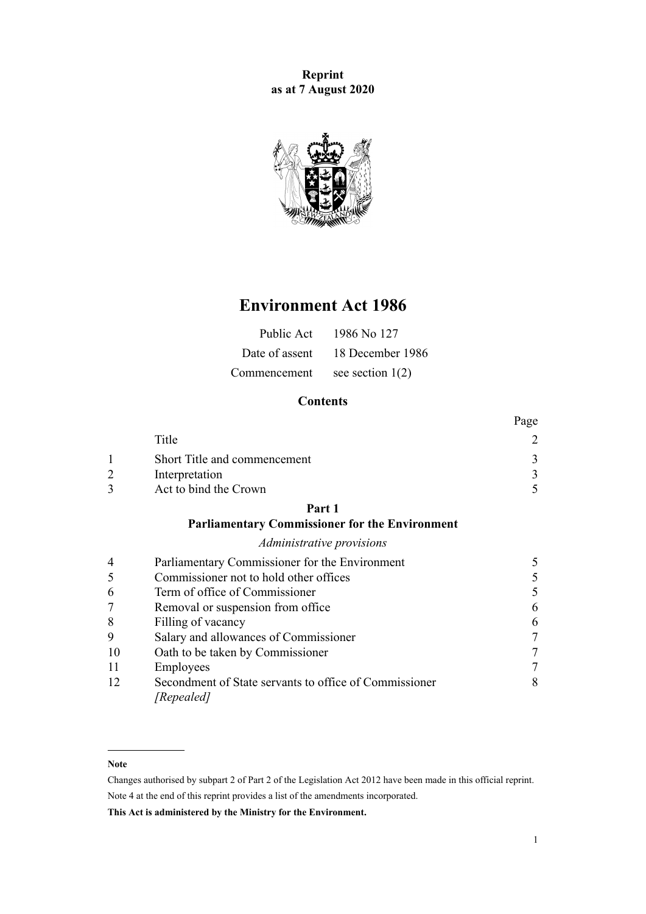**Reprint as at 7 August 2020**



# **Environment Act 1986**

| Public Act     | 1986 No 127        |
|----------------|--------------------|
| Date of assent | 18 December 1986   |
| Commencement   | see section $1(2)$ |

# **Contents**

|                              | Page          |
|------------------------------|---------------|
| Title                        | $\mathcal{D}$ |
| Short Title and commencement |               |
| Interpretation               | 3             |
| Act to bind the Crown        |               |

# **[Part 1](#page-4-0)**

# **[Parliamentary Commissioner for the Environment](#page-4-0)**

# *[Administrative provisions](#page-4-0)*

| $\overline{4}$ | Parliamentary Commissioner for the Environment         |        |
|----------------|--------------------------------------------------------|--------|
| 5              | Commissioner not to hold other offices                 | 5      |
| 6              | Term of office of Commissioner                         | 5      |
| 7              | Removal or suspension from office                      | 6      |
| 8              | Filling of vacancy                                     | 6      |
| 9              | Salary and allowances of Commissioner                  | $\tau$ |
| 10             | Oath to be taken by Commissioner                       |        |
| 11             | Employees                                              |        |
| 12             | Secondment of State servants to office of Commissioner | 8      |
|                | [Repealed]                                             |        |

#### **Note**

Changes authorised by [subpart 2](http://legislation.govt.nz/pdflink.aspx?id=DLM2998524) of Part 2 of the Legislation Act 2012 have been made in this official reprint. Note 4 at the end of this reprint provides a list of the amendments incorporated.

**This Act is administered by the Ministry for the Environment.**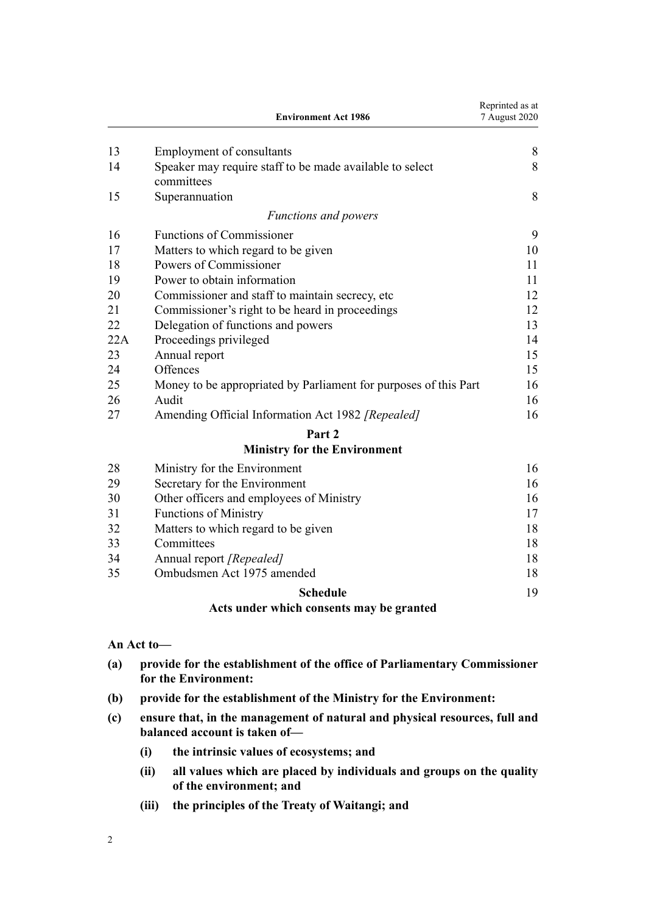<span id="page-1-0"></span>

|     | <b>Environment Act 1986</b>                                      | Reprinted as at<br>7 August 2020 |
|-----|------------------------------------------------------------------|----------------------------------|
| 13  | <b>Employment of consultants</b>                                 | 8                                |
| 14  | Speaker may require staff to be made available to select         | 8                                |
|     | committees                                                       |                                  |
| 15  | Superannuation                                                   | 8                                |
|     | <b>Functions and powers</b>                                      |                                  |
| 16  | <b>Functions of Commissioner</b>                                 | 9                                |
| 17  | Matters to which regard to be given                              | 10                               |
| 18  | Powers of Commissioner                                           | 11                               |
| 19  | Power to obtain information                                      | 11                               |
| 20  | Commissioner and staff to maintain secrecy, etc.                 | 12                               |
| 21  | Commissioner's right to be heard in proceedings                  | 12                               |
| 22  | Delegation of functions and powers                               | 13                               |
| 22A | Proceedings privileged                                           | 14                               |
| 23  | Annual report                                                    | 15                               |
| 24  | Offences                                                         | 15                               |
| 25  | Money to be appropriated by Parliament for purposes of this Part | 16                               |
| 26  | Audit                                                            | 16                               |
| 27  | Amending Official Information Act 1982 [Repealed]                | 16                               |
|     | Part 2                                                           |                                  |
|     | <b>Ministry for the Environment</b>                              |                                  |
| 28  | Ministry for the Environment                                     | 16                               |
| 29  | Secretary for the Environment                                    | 16                               |
| 30  | Other officers and employees of Ministry                         | 16                               |
| 31  | <b>Functions of Ministry</b>                                     | 17                               |
| 32  | Matters to which regard to be given                              | 18                               |
| 33  | Committees                                                       | 18                               |
| 34  | Annual report [Repealed]                                         | 18                               |
| 35  | Ombudsmen Act 1975 amended                                       | 18                               |
|     | <b>Schedule</b>                                                  | 19                               |
|     | Acts under which consents may be granted                         |                                  |

# **An Act to—**

- **(a) provide for the establishment of the office of Parliamentary Commissioner for the Environment:**
- **(b) provide for the establishment of the Ministry for the Environment:**
- **(c) ensure that, in the management of natural and physical resources, full and balanced account is taken of—**
	- **(i) the intrinsic values of ecosystems; and**
	- **(ii) all values which are placed by individuals and groups on the quality of the environment; and**
	- **(iii) the principles of the Treaty of Waitangi; and**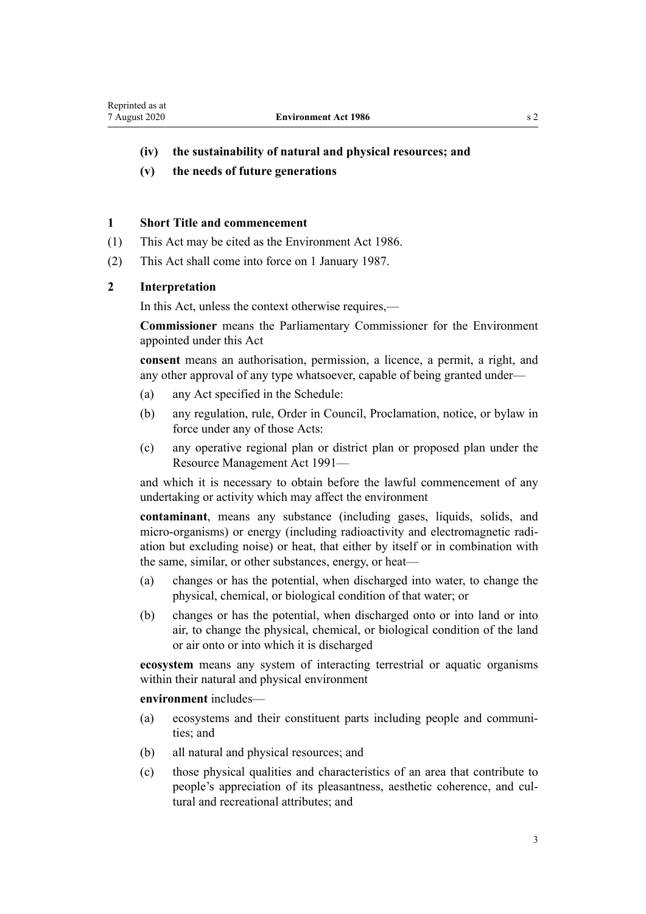# <span id="page-2-0"></span>**(iv) the sustainability of natural and physical resources; and**

**(v) the needs of future generations**

#### **1 Short Title and commencement**

- (1) This Act may be cited as the Environment Act 1986.
- (2) This Act shall come into force on 1 January 1987.

# **2 Interpretation**

In this Act, unless the context otherwise requires,—

**Commissioner** means the Parliamentary Commissioner for the Environment appointed under this Act

**consent** means an authorisation, permission, a licence, a permit, a right, and any other approval of any type whatsoever, capable of being granted under—

- (a) any Act specified in the [Schedule](#page-18-0):
- (b) any regulation, rule, Order in Council, Proclamation, notice, or bylaw in force under any of those Acts:
- (c) any operative regional plan or district plan or proposed plan under the [Resource Management Act 1991](http://legislation.govt.nz/pdflink.aspx?id=DLM230264)—

and which it is necessary to obtain before the lawful commencement of any undertaking or activity which may affect the environment

**contaminant**, means any substance (including gases, liquids, solids, and micro-organisms) or energy (including radioactivity and electromagnetic radiation but excluding noise) or heat, that either by itself or in combination with the same, similar, or other substances, energy, or heat—

- (a) changes or has the potential, when discharged into water, to change the physical, chemical, or biological condition of that water; or
- (b) changes or has the potential, when discharged onto or into land or into air, to change the physical, chemical, or biological condition of the land or air onto or into which it is discharged

**ecosystem** means any system of interacting terrestrial or aquatic organisms within their natural and physical environment

#### **environment** includes—

- (a) ecosystems and their constituent parts including people and communities; and
- (b) all natural and physical resources; and
- (c) those physical qualities and characteristics of an area that contribute to people's appreciation of its pleasantness, aesthetic coherence, and cultural and recreational attributes; and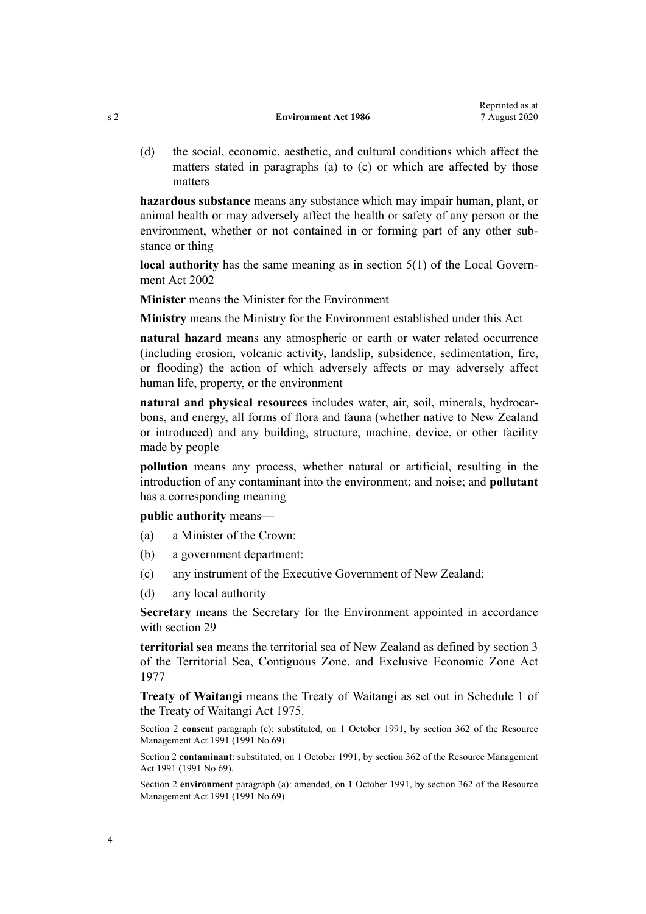(d) the social, economic, aesthetic, and cultural conditions which affect the matters stated in paragraphs (a) to (c) or which are affected by those matters

**hazardous substance** means any substance which may impair human, plant, or animal health or may adversely affect the health or safety of any person or the environment, whether or not contained in or forming part of any other substance or thing

**local authority** has the same meaning as in [section 5\(1\)](http://legislation.govt.nz/pdflink.aspx?id=DLM170881) of the Local Government Act 2002

**Minister** means the Minister for the Environment

**Ministry** means the Ministry for the Environment established under this Act

**natural hazard** means any atmospheric or earth or water related occurrence (including erosion, volcanic activity, landslip, subsidence, sedimentation, fire, or flooding) the action of which adversely affects or may adversely affect human life, property, or the environment

**natural and physical resources** includes water, air, soil, minerals, hydrocarbons, and energy, all forms of flora and fauna (whether native to New Zealand or introduced) and any building, structure, machine, device, or other facility made by people

**pollution** means any process, whether natural or artificial, resulting in the introduction of any contaminant into the environment; and noise; and **pollutant** has a corresponding meaning

#### **public authority** means—

- (a) a Minister of the Crown:
- (b) a government department:
- (c) any instrument of the Executive Government of New Zealand:
- (d) any local authority

**Secretary** means the Secretary for the Environment appointed in accordance with [section 29](#page-15-0)

**territorial sea** means the territorial sea of New Zealand as defined by [section 3](http://legislation.govt.nz/pdflink.aspx?id=DLM442665) of the Territorial Sea, Contiguous Zone, and Exclusive Economic Zone Act 1977

**Treaty of Waitangi** means the [Treaty of Waitangi](http://legislation.govt.nz/pdflink.aspx?id=DLM435834) as set out in Schedule 1 of the Treaty of Waitangi Act 1975.

Section 2 **consent** paragraph (c): substituted, on 1 October 1991, by [section 362](http://legislation.govt.nz/pdflink.aspx?id=DLM239393) of the Resource Management Act 1991 (1991 No 69).

Section 2 **contaminant**: substituted, on 1 October 1991, by [section 362](http://legislation.govt.nz/pdflink.aspx?id=DLM239393) of the Resource Management Act 1991 (1991 No 69).

Section 2 **environment** paragraph (a): amended, on 1 October 1991, by [section 362](http://legislation.govt.nz/pdflink.aspx?id=DLM239393) of the Resource Management Act 1991 (1991 No 69).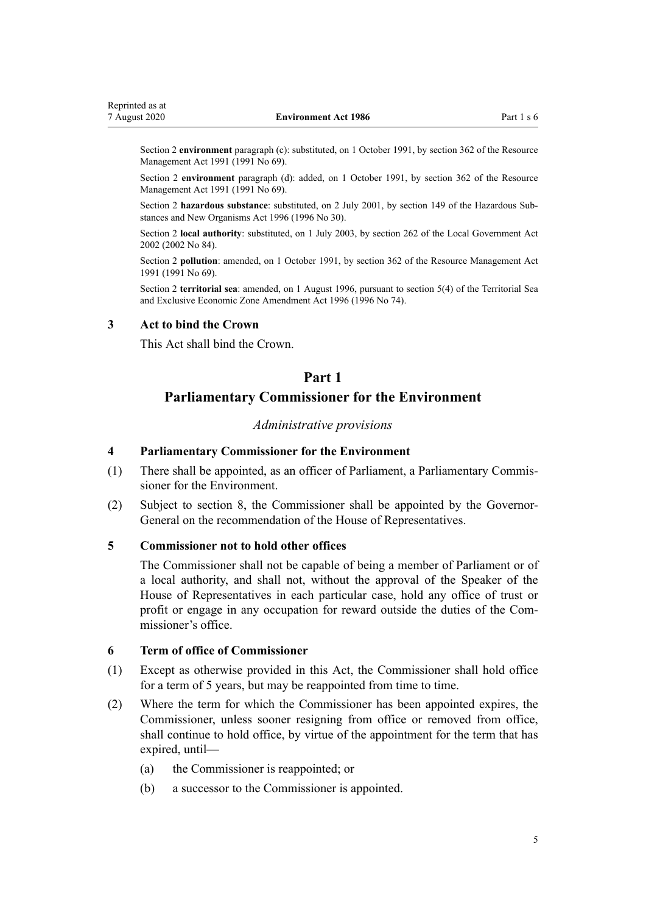<span id="page-4-0"></span>Section 2 **environment** paragraph (c): substituted, on 1 October 1991, by [section 362](http://legislation.govt.nz/pdflink.aspx?id=DLM239393) of the Resource Management Act 1991 (1991 No 69).

Section 2 **environment** paragraph (d): added, on 1 October 1991, by [section 362](http://legislation.govt.nz/pdflink.aspx?id=DLM239393) of the Resource Management Act 1991 (1991 No 69).

Section 2 **hazardous substance**: substituted, on 2 July 2001, by [section 149](http://legislation.govt.nz/pdflink.aspx?id=DLM385160) of the Hazardous Substances and New Organisms Act 1996 (1996 No 30).

Section 2 **local authority**: substituted, on 1 July 2003, by [section 262](http://legislation.govt.nz/pdflink.aspx?id=DLM174088) of the Local Government Act 2002 (2002 No 84).

Section 2 **pollution**: amended, on 1 October 1991, by [section 362](http://legislation.govt.nz/pdflink.aspx?id=DLM239393) of the Resource Management Act 1991 (1991 No 69).

Section 2 **territorial sea**: amended, on 1 August 1996, pursuant to section 5(4) of the Territorial Sea and Exclusive Economic Zone Amendment Act 1996 (1996 No 74).

#### **3 Act to bind the Crown**

This Act shall bind the Crown.

#### **Part 1**

# **Parliamentary Commissioner for the Environment**

#### *Administrative provisions*

# **4 Parliamentary Commissioner for the Environment**

- (1) There shall be appointed, as an officer of Parliament, a Parliamentary Commissioner for the Environment.
- (2) Subject to [section 8,](#page-5-0) the Commissioner shall be appointed by the Governor-General on the recommendation of the House of Representatives.

#### **5 Commissioner not to hold other offices**

The Commissioner shall not be capable of being a member of Parliament or of a local authority, and shall not, without the approval of the Speaker of the House of Representatives in each particular case, hold any office of trust or profit or engage in any occupation for reward outside the duties of the Commissioner's office.

#### **6 Term of office of Commissioner**

- (1) Except as otherwise provided in this Act, the Commissioner shall hold office for a term of 5 years, but may be reappointed from time to time.
- (2) Where the term for which the Commissioner has been appointed expires, the Commissioner, unless sooner resigning from office or removed from office, shall continue to hold office, by virtue of the appointment for the term that has expired, until—
	- (a) the Commissioner is reappointed; or
	- (b) a successor to the Commissioner is appointed.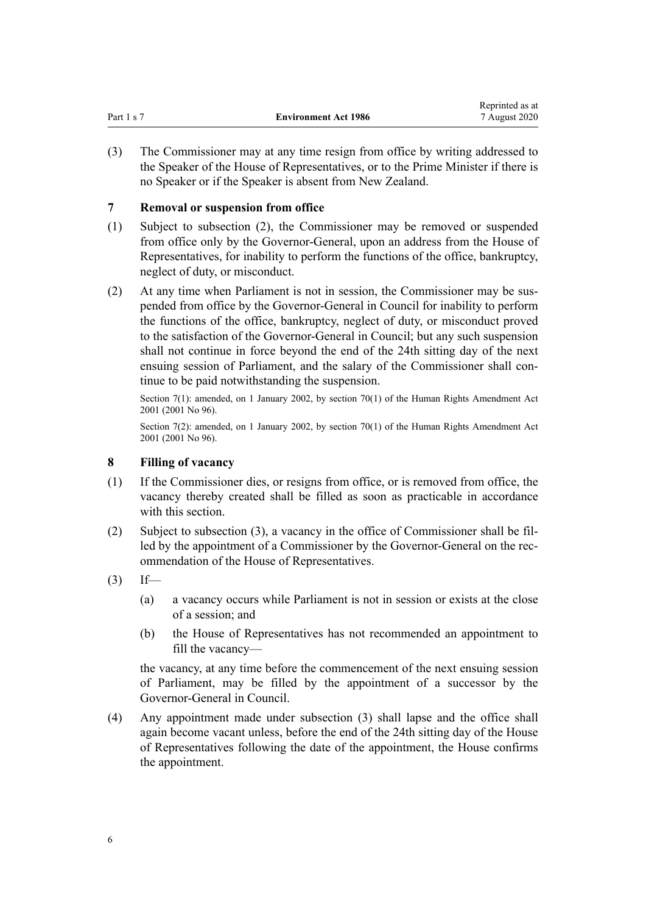<span id="page-5-0"></span>

| <i>reprince as at</i>                     |               |
|-------------------------------------------|---------------|
| Part 1 s 7<br><b>Environment Act 1986</b> | 7 August 2020 |

Reprinted as at

(3) The Commissioner may at any time resign from office by writing addressed to the Speaker of the House of Representatives, or to the Prime Minister if there is no Speaker or if the Speaker is absent from New Zealand.

# **7 Removal or suspension from office**

- (1) Subject to subsection (2), the Commissioner may be removed or suspended from office only by the Governor-General, upon an address from the House of Representatives, for inability to perform the functions of the office, bankruptcy, neglect of duty, or misconduct.
- (2) At any time when Parliament is not in session, the Commissioner may be suspended from office by the Governor-General in Council for inability to perform the functions of the office, bankruptcy, neglect of duty, or misconduct proved to the satisfaction of the Governor-General in Council; but any such suspension shall not continue in force beyond the end of the 24th sitting day of the next ensuing session of Parliament, and the salary of the Commissioner shall continue to be paid notwithstanding the suspension.

Section 7(1): amended, on 1 January 2002, by [section 70\(1\)](http://legislation.govt.nz/pdflink.aspx?id=DLM122579) of the Human Rights Amendment Act 2001 (2001 No 96).

Section 7(2): amended, on 1 January 2002, by [section 70\(1\)](http://legislation.govt.nz/pdflink.aspx?id=DLM122579) of the Human Rights Amendment Act 2001 (2001 No 96).

#### **8 Filling of vacancy**

- (1) If the Commissioner dies, or resigns from office, or is removed from office, the vacancy thereby created shall be filled as soon as practicable in accordance with this section.
- (2) Subject to subsection (3), a vacancy in the office of Commissioner shall be filled by the appointment of a Commissioner by the Governor-General on the recommendation of the House of Representatives.
- $(3)$  If—
	- (a) a vacancy occurs while Parliament is not in session or exists at the close of a session; and
	- (b) the House of Representatives has not recommended an appointment to fill the vacancy—

the vacancy, at any time before the commencement of the next ensuing session of Parliament, may be filled by the appointment of a successor by the Governor-General in Council.

(4) Any appointment made under subsection (3) shall lapse and the office shall again become vacant unless, before the end of the 24th sitting day of the House of Representatives following the date of the appointment, the House confirms the appointment.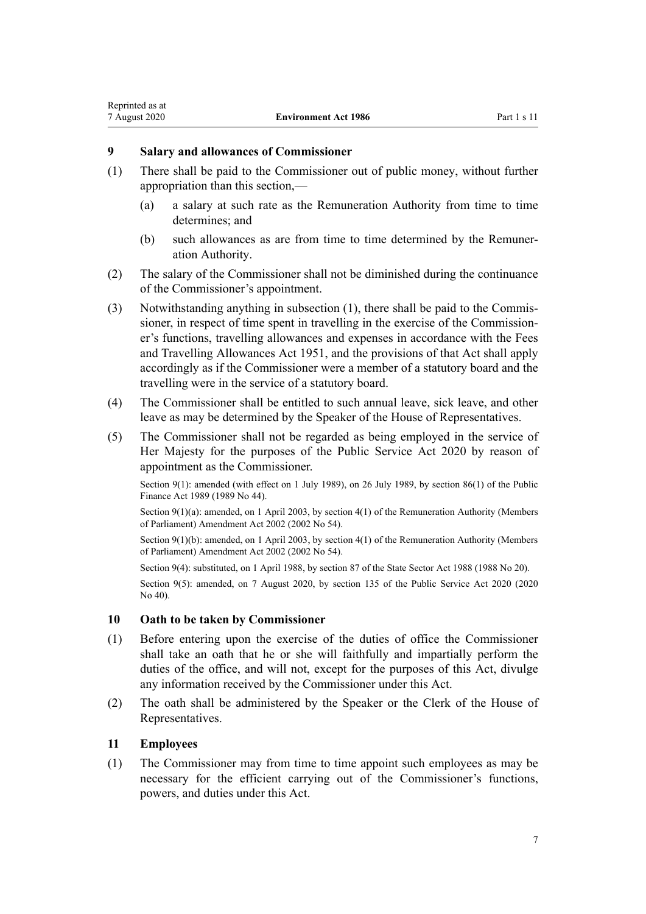# <span id="page-6-0"></span>**9 Salary and allowances of Commissioner**

- (1) There shall be paid to the Commissioner out of public money, without further appropriation than this section,—
	- (a) a salary at such rate as the Remuneration Authority from time to time determines; and
	- (b) such allowances as are from time to time determined by the Remuneration Authority.
- (2) The salary of the Commissioner shall not be diminished during the continuance of the Commissioner's appointment.
- (3) Notwithstanding anything in subsection (1), there shall be paid to the Commissioner, in respect of time spent in travelling in the exercise of the Commissioner's functions, travelling allowances and expenses in accordance with the [Fees](http://legislation.govt.nz/pdflink.aspx?id=DLM264952) [and Travelling Allowances Act 1951](http://legislation.govt.nz/pdflink.aspx?id=DLM264952), and the provisions of that Act shall apply accordingly as if the Commissioner were a member of a statutory board and the travelling were in the service of a statutory board.
- (4) The Commissioner shall be entitled to such annual leave, sick leave, and other leave as may be determined by the Speaker of the House of Representatives.
- (5) The Commissioner shall not be regarded as being employed in the service of Her Majesty for the purposes of the [Public Service Act 2020](http://legislation.govt.nz/pdflink.aspx?id=LMS106157) by reason of appointment as the Commissioner.

Section 9(1): amended (with effect on 1 July 1989), on 26 July 1989, by [section 86\(1\)](http://legislation.govt.nz/pdflink.aspx?id=DLM163175) of the Public Finance Act 1989 (1989 No 44).

Section 9(1)(a): amended, on 1 April 2003, by [section 4\(1\)](http://legislation.govt.nz/pdflink.aspx?id=DLM167443) of the Remuneration Authority (Members of Parliament) Amendment Act 2002 (2002 No 54).

Section 9(1)(b): amended, on 1 April 2003, by [section 4\(1\)](http://legislation.govt.nz/pdflink.aspx?id=DLM167443) of the Remuneration Authority (Members of Parliament) Amendment Act 2002 (2002 No 54).

Section 9(4): substituted, on 1 April 1988, by [section 87](http://legislation.govt.nz/pdflink.aspx?id=DLM130374) of the State Sector Act 1988 (1988 No 20). Section 9(5): amended, on 7 August 2020, by [section 135](http://legislation.govt.nz/pdflink.aspx?id=LMS176959) of the Public Service Act 2020 (2020) No 40).

#### **10 Oath to be taken by Commissioner**

- (1) Before entering upon the exercise of the duties of office the Commissioner shall take an oath that he or she will faithfully and impartially perform the duties of the office, and will not, except for the purposes of this Act, divulge any information received by the Commissioner under this Act.
- (2) The oath shall be administered by the Speaker or the Clerk of the House of Representatives.

#### **11 Employees**

(1) The Commissioner may from time to time appoint such employees as may be necessary for the efficient carrying out of the Commissioner's functions, powers, and duties under this Act.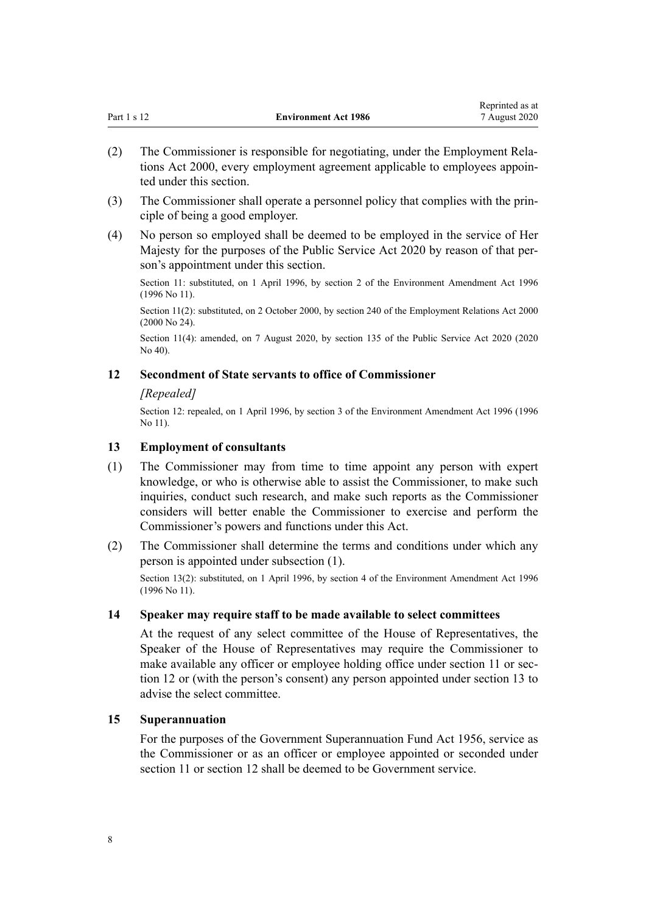<span id="page-7-0"></span>

Reprinted as at

- (2) The Commissioner is responsible for negotiating, under the [Employment Rela](http://legislation.govt.nz/pdflink.aspx?id=DLM58316)[tions Act 2000,](http://legislation.govt.nz/pdflink.aspx?id=DLM58316) every employment agreement applicable to employees appointed under this section.
- (3) The Commissioner shall operate a personnel policy that complies with the principle of being a good employer.
- (4) No person so employed shall be deemed to be employed in the service of Her Majesty for the purposes of the [Public Service Act 2020](http://legislation.govt.nz/pdflink.aspx?id=LMS106157) by reason of that person's appointment under this section.

Section 11: substituted, on 1 April 1996, by section 2 of the Environment Amendment Act 1996 (1996 No 11).

Section 11(2): substituted, on 2 October 2000, by [section 240](http://legislation.govt.nz/pdflink.aspx?id=DLM61487) of the Employment Relations Act 2000 (2000 No 24).

Section 11(4): amended, on 7 August 2020, by [section 135](http://legislation.govt.nz/pdflink.aspx?id=LMS176959) of the Public Service Act 2020 (2020 No 40).

## **12 Secondment of State servants to office of Commissioner**

#### *[Repealed]*

Section 12: repealed, on 1 April 1996, by section 3 of the Environment Amendment Act 1996 (1996 No 11).

#### **13 Employment of consultants**

- (1) The Commissioner may from time to time appoint any person with expert knowledge, or who is otherwise able to assist the Commissioner, to make such inquiries, conduct such research, and make such reports as the Commissioner considers will better enable the Commissioner to exercise and perform the Commissioner's powers and functions under this Act.
- (2) The Commissioner shall determine the terms and conditions under which any person is appointed under subsection (1).

Section 13(2): substituted, on 1 April 1996, by section 4 of the Environment Amendment Act 1996 (1996 No 11).

#### **14 Speaker may require staff to be made available to select committees**

At the request of any select committee of the House of Representatives, the Speaker of the House of Representatives may require the Commissioner to make available any officer or employee holding office under [section 11](#page-6-0) or section 12 or (with the person's consent) any person appointed under section 13 to advise the select committee.

# **15 Superannuation**

For the purposes of the [Government Superannuation Fund Act 1956,](http://legislation.govt.nz/pdflink.aspx?id=DLM446000) service as the Commissioner or as an officer or employee appointed or seconded under [section 11](#page-6-0) or section 12 shall be deemed to be Government service.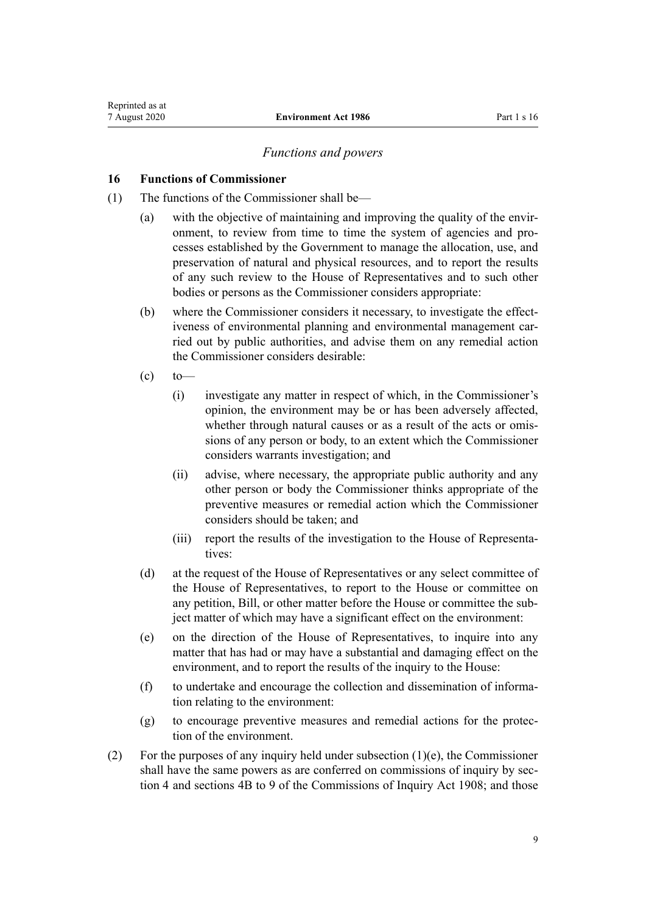# *Functions and powers*

#### <span id="page-8-0"></span>**16 Functions of Commissioner**

- (1) The functions of the Commissioner shall be—
	- (a) with the objective of maintaining and improving the quality of the environment, to review from time to time the system of agencies and processes established by the Government to manage the allocation, use, and preservation of natural and physical resources, and to report the results of any such review to the House of Representatives and to such other bodies or persons as the Commissioner considers appropriate:
	- (b) where the Commissioner considers it necessary, to investigate the effectiveness of environmental planning and environmental management carried out by public authorities, and advise them on any remedial action the Commissioner considers desirable:
	- $\int_{c}^{c}$  to  $\frac{1}{c}$ 
		- (i) investigate any matter in respect of which, in the Commissioner's opinion, the environment may be or has been adversely affected, whether through natural causes or as a result of the acts or omissions of any person or body, to an extent which the Commissioner considers warrants investigation; and
		- (ii) advise, where necessary, the appropriate public authority and any other person or body the Commissioner thinks appropriate of the preventive measures or remedial action which the Commissioner considers should be taken; and
		- (iii) report the results of the investigation to the House of Representatives:
	- (d) at the request of the House of Representatives or any select committee of the House of Representatives, to report to the House or committee on any petition, Bill, or other matter before the House or committee the subject matter of which may have a significant effect on the environment:
	- (e) on the direction of the House of Representatives, to inquire into any matter that has had or may have a substantial and damaging effect on the environment, and to report the results of the inquiry to the House:
	- (f) to undertake and encourage the collection and dissemination of information relating to the environment:
	- (g) to encourage preventive measures and remedial actions for the protection of the environment.
- (2) For the purposes of any inquiry held under subsection  $(1)(e)$ , the Commissioner shall have the same powers as are conferred on commissions of inquiry by [sec](http://legislation.govt.nz/pdflink.aspx?id=DLM139145)[tion 4](http://legislation.govt.nz/pdflink.aspx?id=DLM139145) and [sections 4B to 9](http://legislation.govt.nz/pdflink.aspx?id=DLM139153) of the Commissions of Inquiry Act 1908; and those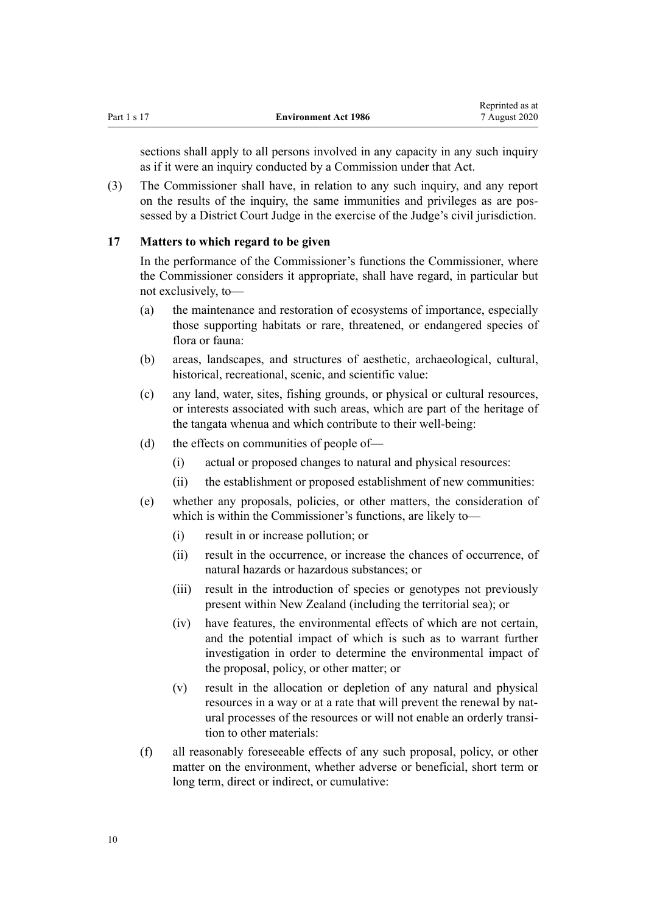<span id="page-9-0"></span>sections shall apply to all persons involved in any capacity in any such inquiry as if it were an inquiry conducted by a Commission under that Act.

Reprinted as at

(3) The Commissioner shall have, in relation to any such inquiry, and any report on the results of the inquiry, the same immunities and privileges as are possessed by a District Court Judge in the exercise of the Judge's civil jurisdiction.

# **17 Matters to which regard to be given**

In the performance of the Commissioner's functions the Commissioner, where the Commissioner considers it appropriate, shall have regard, in particular but not exclusively, to—

- (a) the maintenance and restoration of ecosystems of importance, especially those supporting habitats or rare, threatened, or endangered species of flora or fauna:
- (b) areas, landscapes, and structures of aesthetic, archaeological, cultural, historical, recreational, scenic, and scientific value:
- (c) any land, water, sites, fishing grounds, or physical or cultural resources, or interests associated with such areas, which are part of the heritage of the tangata whenua and which contribute to their well-being:
- (d) the effects on communities of people of—
	- (i) actual or proposed changes to natural and physical resources:
	- (ii) the establishment or proposed establishment of new communities:
- (e) whether any proposals, policies, or other matters, the consideration of which is within the Commissioner's functions, are likely to—
	- (i) result in or increase pollution; or
	- (ii) result in the occurrence, or increase the chances of occurrence, of natural hazards or hazardous substances; or
	- (iii) result in the introduction of species or genotypes not previously present within New Zealand (including the territorial sea); or
	- (iv) have features, the environmental effects of which are not certain, and the potential impact of which is such as to warrant further investigation in order to determine the environmental impact of the proposal, policy, or other matter; or
	- (v) result in the allocation or depletion of any natural and physical resources in a way or at a rate that will prevent the renewal by natural processes of the resources or will not enable an orderly transition to other materials:
- (f) all reasonably foreseeable effects of any such proposal, policy, or other matter on the environment, whether adverse or beneficial, short term or long term, direct or indirect, or cumulative: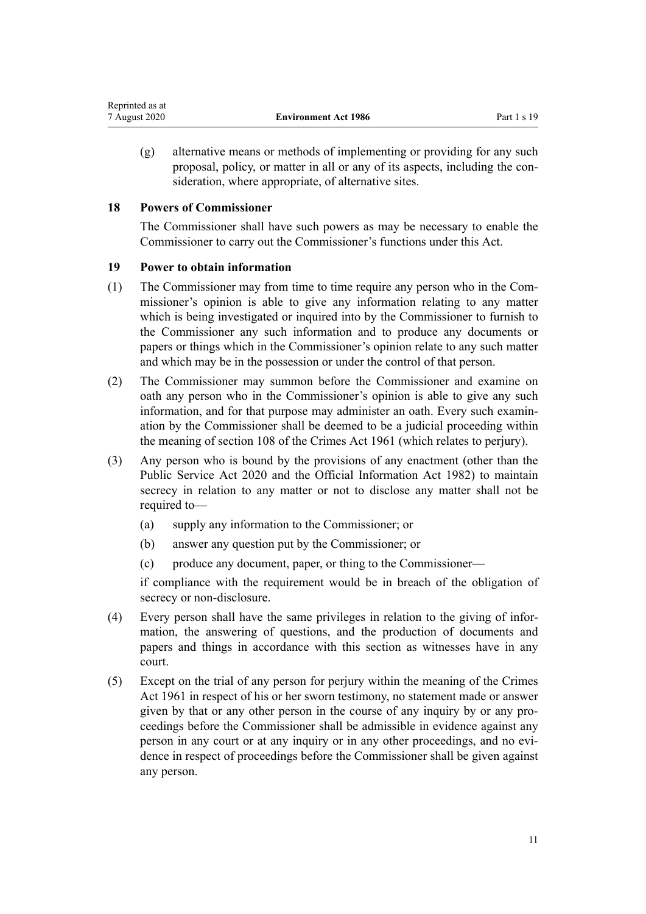<span id="page-10-0"></span>

| Reprinted as at |                             |             |
|-----------------|-----------------------------|-------------|
| 7 August 2020   | <b>Environment Act 1986</b> | Part 1 s 19 |

(g) alternative means or methods of implementing or providing for any such proposal, policy, or matter in all or any of its aspects, including the consideration, where appropriate, of alternative sites.

#### **18 Powers of Commissioner**

The Commissioner shall have such powers as may be necessary to enable the Commissioner to carry out the Commissioner's functions under this Act.

# **19 Power to obtain information**

- (1) The Commissioner may from time to time require any person who in the Commissioner's opinion is able to give any information relating to any matter which is being investigated or inquired into by the Commissioner to furnish to the Commissioner any such information and to produce any documents or papers or things which in the Commissioner's opinion relate to any such matter and which may be in the possession or under the control of that person.
- (2) The Commissioner may summon before the Commissioner and examine on oath any person who in the Commissioner's opinion is able to give any such information, and for that purpose may administer an oath. Every such examination by the Commissioner shall be deemed to be a judicial proceeding within the meaning of [section 108](http://legislation.govt.nz/pdflink.aspx?id=DLM328793) of the Crimes Act 1961 (which relates to perjury).
- (3) Any person who is bound by the provisions of any enactment (other than the [Public Service Act 2020](http://legislation.govt.nz/pdflink.aspx?id=LMS106157) and the [Official Information Act 1982\)](http://legislation.govt.nz/pdflink.aspx?id=DLM64784) to maintain secrecy in relation to any matter or not to disclose any matter shall not be required to—
	- (a) supply any information to the Commissioner; or
	- (b) answer any question put by the Commissioner; or
	- (c) produce any document, paper, or thing to the Commissioner—

if compliance with the requirement would be in breach of the obligation of secrecy or non-disclosure.

- (4) Every person shall have the same privileges in relation to the giving of information, the answering of questions, and the production of documents and papers and things in accordance with this section as witnesses have in any court.
- (5) Except on the trial of any person for perjury within the meaning of the [Crimes](http://legislation.govt.nz/pdflink.aspx?id=DLM327381) [Act 1961](http://legislation.govt.nz/pdflink.aspx?id=DLM327381) in respect of his or her sworn testimony, no statement made or answer given by that or any other person in the course of any inquiry by or any proceedings before the Commissioner shall be admissible in evidence against any person in any court or at any inquiry or in any other proceedings, and no evidence in respect of proceedings before the Commissioner shall be given against any person.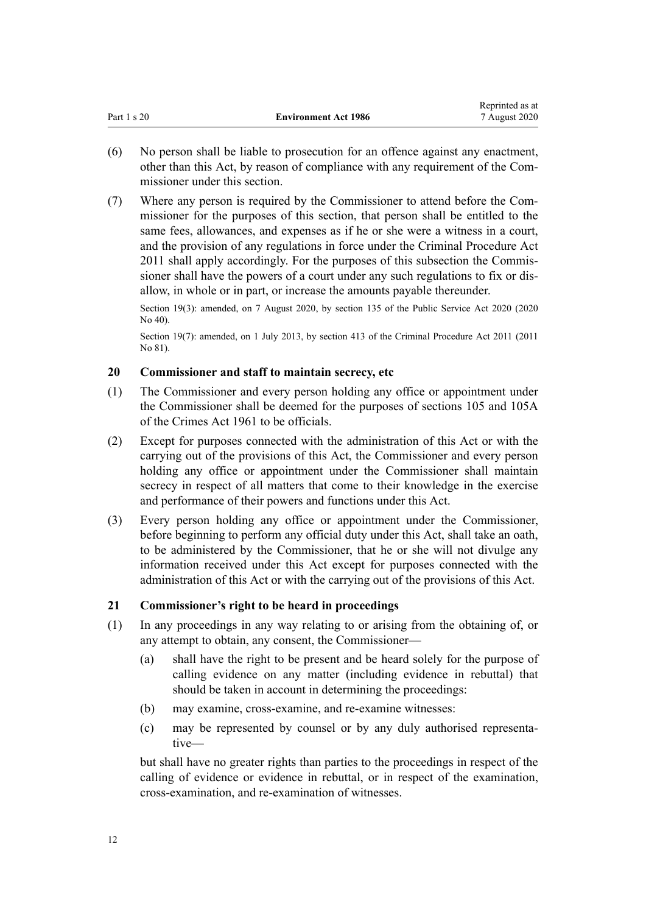<span id="page-11-0"></span>

Reprinted as at

- (6) No person shall be liable to prosecution for an offence against any enactment, other than this Act, by reason of compliance with any requirement of the Commissioner under this section.
- (7) Where any person is required by the Commissioner to attend before the Commissioner for the purposes of this section, that person shall be entitled to the same fees, allowances, and expenses as if he or she were a witness in a court, and the provision of any regulations in force under the [Criminal Procedure Act](http://legislation.govt.nz/pdflink.aspx?id=DLM3359902) [2011](http://legislation.govt.nz/pdflink.aspx?id=DLM3359902) shall apply accordingly. For the purposes of this subsection the Commissioner shall have the powers of a court under any such regulations to fix or disallow, in whole or in part, or increase the amounts payable thereunder.

Section 19(3): amended, on 7 August 2020, by [section 135](http://legislation.govt.nz/pdflink.aspx?id=LMS176959) of the Public Service Act 2020 (2020)  $N_0$  40).

Section 19(7): amended, on 1 July 2013, by [section 413](http://legislation.govt.nz/pdflink.aspx?id=DLM3360714) of the Criminal Procedure Act 2011 (2011 No 81).

#### **20 Commissioner and staff to maintain secrecy, etc**

- (1) The Commissioner and every person holding any office or appointment under the Commissioner shall be deemed for the purposes of [sections 105](http://legislation.govt.nz/pdflink.aspx?id=DLM328753) and [105A](http://legislation.govt.nz/pdflink.aspx?id=DLM328755) of the Crimes Act 1961 to be officials.
- (2) Except for purposes connected with the administration of this Act or with the carrying out of the provisions of this Act, the Commissioner and every person holding any office or appointment under the Commissioner shall maintain secrecy in respect of all matters that come to their knowledge in the exercise and performance of their powers and functions under this Act.
- (3) Every person holding any office or appointment under the Commissioner, before beginning to perform any official duty under this Act, shall take an oath, to be administered by the Commissioner, that he or she will not divulge any information received under this Act except for purposes connected with the administration of this Act or with the carrying out of the provisions of this Act.

# **21 Commissioner's right to be heard in proceedings**

- (1) In any proceedings in any way relating to or arising from the obtaining of, or any attempt to obtain, any consent, the Commissioner—
	- (a) shall have the right to be present and be heard solely for the purpose of calling evidence on any matter (including evidence in rebuttal) that should be taken in account in determining the proceedings:
	- (b) may examine, cross-examine, and re-examine witnesses:
	- (c) may be represented by counsel or by any duly authorised representative—

but shall have no greater rights than parties to the proceedings in respect of the calling of evidence or evidence in rebuttal, or in respect of the examination, cross-examination, and re-examination of witnesses.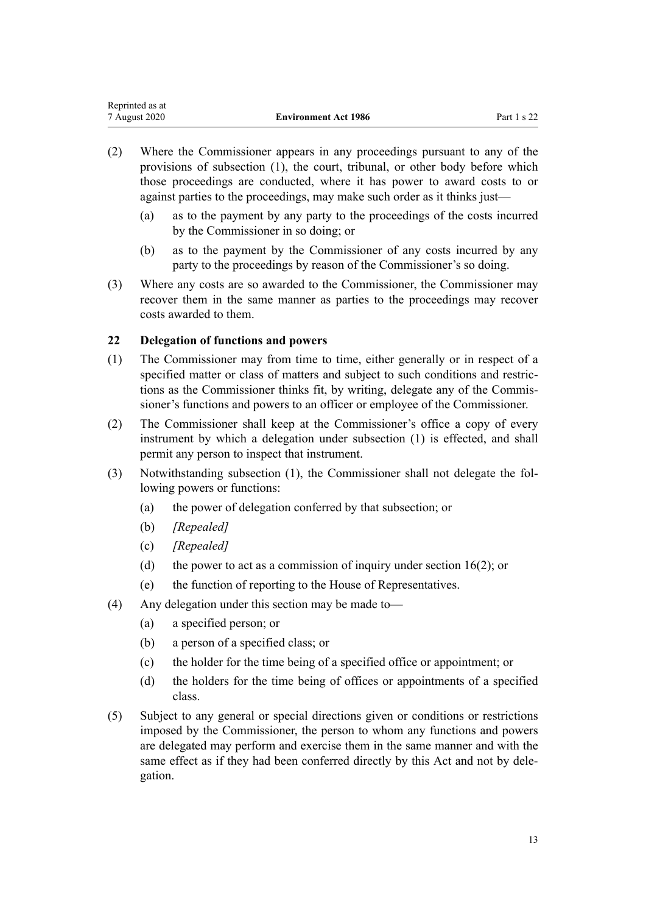<span id="page-12-0"></span>

| Reprinted as at |                             |             |
|-----------------|-----------------------------|-------------|
| 7 August 2020   | <b>Environment Act 1986</b> | Part 1 s 22 |

- (2) Where the Commissioner appears in any proceedings pursuant to any of the provisions of subsection (1), the court, tribunal, or other body before which those proceedings are conducted, where it has power to award costs to or against parties to the proceedings, may make such order as it thinks just—
	- (a) as to the payment by any party to the proceedings of the costs incurred by the Commissioner in so doing; or
	- (b) as to the payment by the Commissioner of any costs incurred by any party to the proceedings by reason of the Commissioner's so doing.
- (3) Where any costs are so awarded to the Commissioner, the Commissioner may recover them in the same manner as parties to the proceedings may recover costs awarded to them.

# **22 Delegation of functions and powers**

- (1) The Commissioner may from time to time, either generally or in respect of a specified matter or class of matters and subject to such conditions and restrictions as the Commissioner thinks fit, by writing, delegate any of the Commissioner's functions and powers to an officer or employee of the Commissioner.
- (2) The Commissioner shall keep at the Commissioner's office a copy of every instrument by which a delegation under subsection (1) is effected, and shall permit any person to inspect that instrument.
- (3) Notwithstanding subsection (1), the Commissioner shall not delegate the following powers or functions:
	- (a) the power of delegation conferred by that subsection; or
	- (b) *[Repealed]*
	- (c) *[Repealed]*
	- (d) the power to act as a commission of inquiry under section  $16(2)$ ; or
	- (e) the function of reporting to the House of Representatives.
- (4) Any delegation under this section may be made to—
	- (a) a specified person; or
	- (b) a person of a specified class; or
	- (c) the holder for the time being of a specified office or appointment; or
	- (d) the holders for the time being of offices or appointments of a specified class.
- (5) Subject to any general or special directions given or conditions or restrictions imposed by the Commissioner, the person to whom any functions and powers are delegated may perform and exercise them in the same manner and with the same effect as if they had been conferred directly by this Act and not by delegation.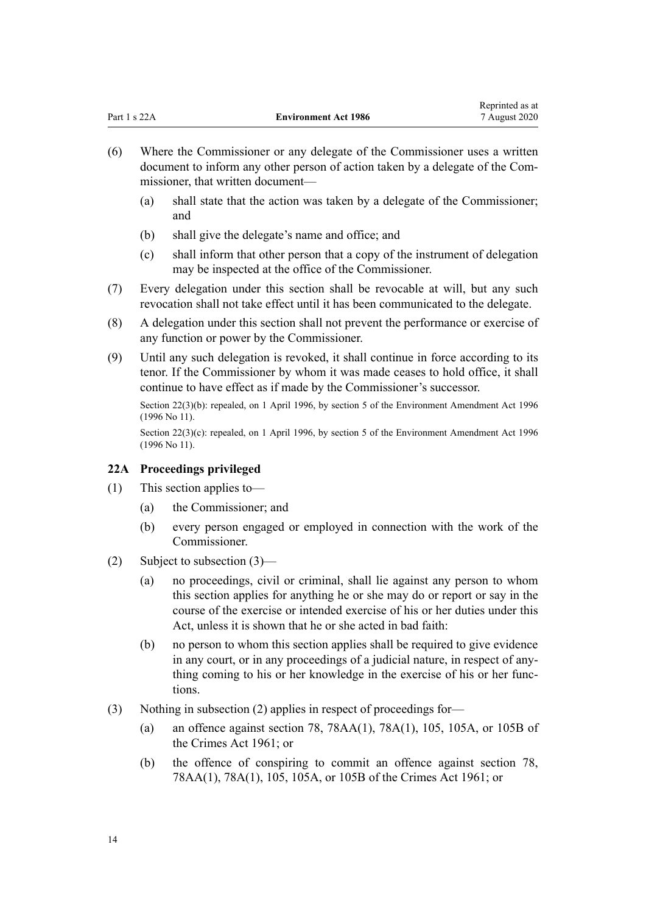<span id="page-13-0"></span>

|              |                             | $\sim$        |
|--------------|-----------------------------|---------------|
| Part 1 s 22A | <b>Environment Act 1986</b> | 7 August 2020 |

Reprinted as at

- (6) Where the Commissioner or any delegate of the Commissioner uses a written document to inform any other person of action taken by a delegate of the Commissioner, that written document—
	- (a) shall state that the action was taken by a delegate of the Commissioner; and
	- (b) shall give the delegate's name and office; and
	- (c) shall inform that other person that a copy of the instrument of delegation may be inspected at the office of the Commissioner.
- (7) Every delegation under this section shall be revocable at will, but any such revocation shall not take effect until it has been communicated to the delegate.
- (8) A delegation under this section shall not prevent the performance or exercise of any function or power by the Commissioner.
- (9) Until any such delegation is revoked, it shall continue in force according to its tenor. If the Commissioner by whom it was made ceases to hold office, it shall continue to have effect as if made by the Commissioner's successor.

Section 22(3)(b): repealed, on 1 April 1996, by section 5 of the Environment Amendment Act 1996 (1996 No 11).

Section 22(3)(c): repealed, on 1 April 1996, by section 5 of the Environment Amendment Act 1996 (1996 No 11).

#### **22A Proceedings privileged**

- (1) This section applies to—
	- (a) the Commissioner; and
	- (b) every person engaged or employed in connection with the work of the Commissioner.
- (2) Subject to subsection (3)—
	- (a) no proceedings, civil or criminal, shall lie against any person to whom this section applies for anything he or she may do or report or say in the course of the exercise or intended exercise of his or her duties under this Act, unless it is shown that he or she acted in bad faith:
	- (b) no person to whom this section applies shall be required to give evidence in any court, or in any proceedings of a judicial nature, in respect of anything coming to his or her knowledge in the exercise of his or her functions.
- (3) Nothing in subsection (2) applies in respect of proceedings for—
	- (a) an offence against [section 78](http://legislation.govt.nz/pdflink.aspx?id=DLM328526), [78AA\(1\)](http://legislation.govt.nz/pdflink.aspx?id=DLM7453603), [78A\(1\),](http://legislation.govt.nz/pdflink.aspx?id=DLM328528) [105](http://legislation.govt.nz/pdflink.aspx?id=DLM328753), [105A](http://legislation.govt.nz/pdflink.aspx?id=DLM328753), or [105B](http://legislation.govt.nz/pdflink.aspx?id=DLM328758) of the Crimes Act 1961; or
	- (b) the offence of conspiring to commit an offence against [section 78](http://legislation.govt.nz/pdflink.aspx?id=DLM328526), [78AA\(1\),](http://legislation.govt.nz/pdflink.aspx?id=DLM7453603) [78A\(1\),](http://legislation.govt.nz/pdflink.aspx?id=DLM328528) [105, 105A](http://legislation.govt.nz/pdflink.aspx?id=DLM328753), or [105B](http://legislation.govt.nz/pdflink.aspx?id=DLM328758) of the Crimes Act 1961; or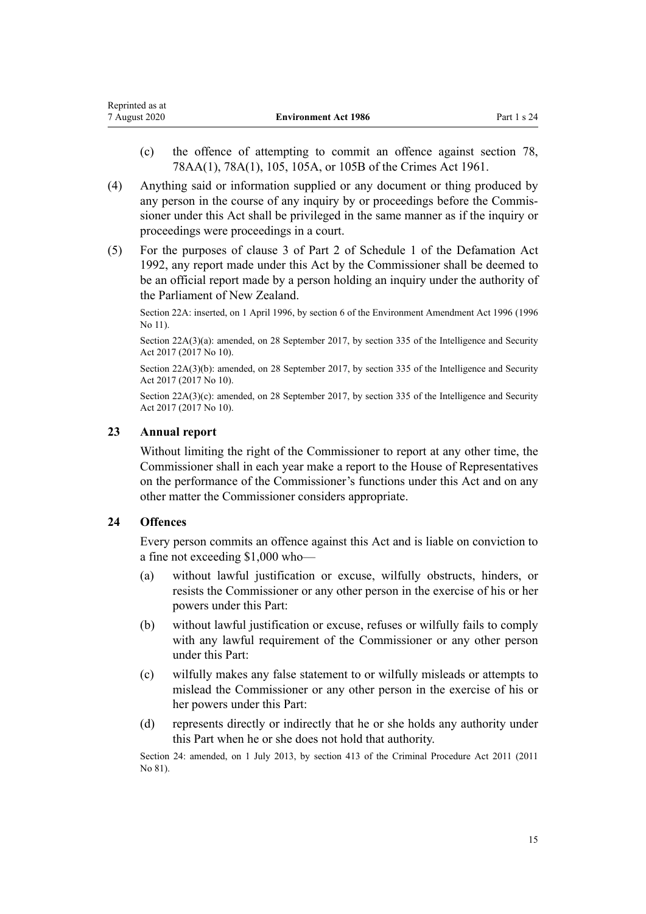- <span id="page-14-0"></span>(c) the offence of attempting to commit an offence against [section 78](http://legislation.govt.nz/pdflink.aspx?id=DLM328526), [78AA\(1\),](http://legislation.govt.nz/pdflink.aspx?id=DLM7453603) [78A\(1\),](http://legislation.govt.nz/pdflink.aspx?id=DLM328528) [105, 105A](http://legislation.govt.nz/pdflink.aspx?id=DLM328753), or [105B](http://legislation.govt.nz/pdflink.aspx?id=DLM328758) of the Crimes Act 1961.
- (4) Anything said or information supplied or any document or thing produced by any person in the course of any inquiry by or proceedings before the Commissioner under this Act shall be privileged in the same manner as if the inquiry or proceedings were proceedings in a court.
- (5) For the purposes of [clause 3](http://legislation.govt.nz/pdflink.aspx?id=DLM281290) of Part 2 of Schedule 1 of the Defamation Act 1992, any report made under this Act by the Commissioner shall be deemed to be an official report made by a person holding an inquiry under the authority of the Parliament of New Zealand.

Section 22A: inserted, on 1 April 1996, by section 6 of the Environment Amendment Act 1996 (1996 No 11).

Section 22A(3)(a): amended, on 28 September 2017, by [section 335](http://legislation.govt.nz/pdflink.aspx?id=DLM6921475) of the Intelligence and Security Act 2017 (2017 No 10).

Section 22A(3)(b): amended, on 28 September 2017, by [section 335](http://legislation.govt.nz/pdflink.aspx?id=DLM6921475) of the Intelligence and Security Act 2017 (2017 No 10).

Section 22A(3)(c): amended, on 28 September 2017, by [section 335](http://legislation.govt.nz/pdflink.aspx?id=DLM6921475) of the Intelligence and Security Act 2017 (2017 No 10).

# **23 Annual report**

Without limiting the right of the Commissioner to report at any other time, the Commissioner shall in each year make a report to the House of Representatives on the performance of the Commissioner's functions under this Act and on any other matter the Commissioner considers appropriate.

#### **24 Offences**

Every person commits an offence against this Act and is liable on conviction to a fine not exceeding \$1,000 who—

- (a) without lawful justification or excuse, wilfully obstructs, hinders, or resists the Commissioner or any other person in the exercise of his or her powers under this Part:
- (b) without lawful justification or excuse, refuses or wilfully fails to comply with any lawful requirement of the Commissioner or any other person under this Part:
- (c) wilfully makes any false statement to or wilfully misleads or attempts to mislead the Commissioner or any other person in the exercise of his or her powers under this Part:
- (d) represents directly or indirectly that he or she holds any authority under this Part when he or she does not hold that authority.

Section 24: amended, on 1 July 2013, by [section 413](http://legislation.govt.nz/pdflink.aspx?id=DLM3360714) of the Criminal Procedure Act 2011 (2011 No 81).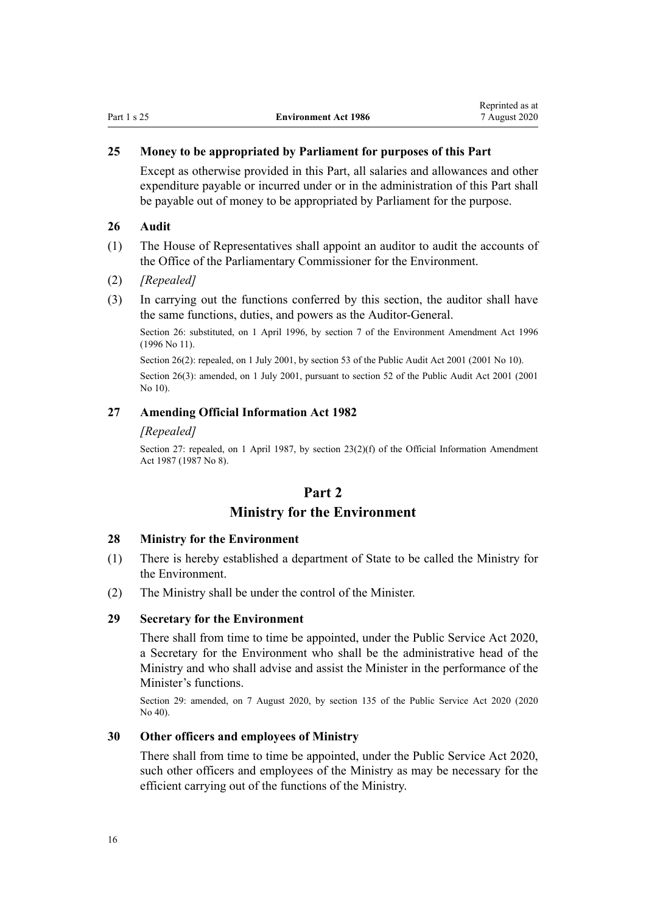# <span id="page-15-0"></span>**25 Money to be appropriated by Parliament for purposes of this Part**

Except as otherwise provided in this Part, all salaries and allowances and other expenditure payable or incurred under or in the administration of this Part shall be payable out of money to be appropriated by Parliament for the purpose.

#### **26 Audit**

- (1) The House of Representatives shall appoint an auditor to audit the accounts of the Office of the Parliamentary Commissioner for the Environment.
- (2) *[Repealed]*
- (3) In carrying out the functions conferred by this section, the auditor shall have the same functions, duties, and powers as the Auditor-General.

Section 26: substituted, on 1 April 1996, by section 7 of the Environment Amendment Act 1996 (1996 No 11).

Section 26(2): repealed, on 1 July 2001, by [section 53](http://legislation.govt.nz/pdflink.aspx?id=DLM88957) of the Public Audit Act 2001 (2001 No 10). Section 26(3): amended, on 1 July 2001, pursuant to [section 52](http://legislation.govt.nz/pdflink.aspx?id=DLM88956) of the Public Audit Act 2001 (2001) No 10).

#### **27 Amending Official Information Act 1982**

#### *[Repealed]*

Section 27: repealed, on 1 April 1987, by [section 23\(2\)\(f\)](http://legislation.govt.nz/pdflink.aspx?id=DLM101350) of the Official Information Amendment Act 1987 (1987 No 8).

# **Part 2**

# **Ministry for the Environment**

#### **28 Ministry for the Environment**

- (1) There is hereby established a department of State to be called the Ministry for the Environment.
- (2) The Ministry shall be under the control of the Minister.

#### **29 Secretary for the Environment**

There shall from time to time be appointed, under the [Public Service Act 2020](http://legislation.govt.nz/pdflink.aspx?id=LMS106157), a Secretary for the Environment who shall be the administrative head of the Ministry and who shall advise and assist the Minister in the performance of the Minister's functions.

Section 29: amended, on 7 August 2020, by [section 135](http://legislation.govt.nz/pdflink.aspx?id=LMS176959) of the Public Service Act 2020 (2020 No 40).

## **30 Other officers and employees of Ministry**

There shall from time to time be appointed, under the [Public Service Act 2020](http://legislation.govt.nz/pdflink.aspx?id=LMS106157), such other officers and employees of the Ministry as may be necessary for the efficient carrying out of the functions of the Ministry.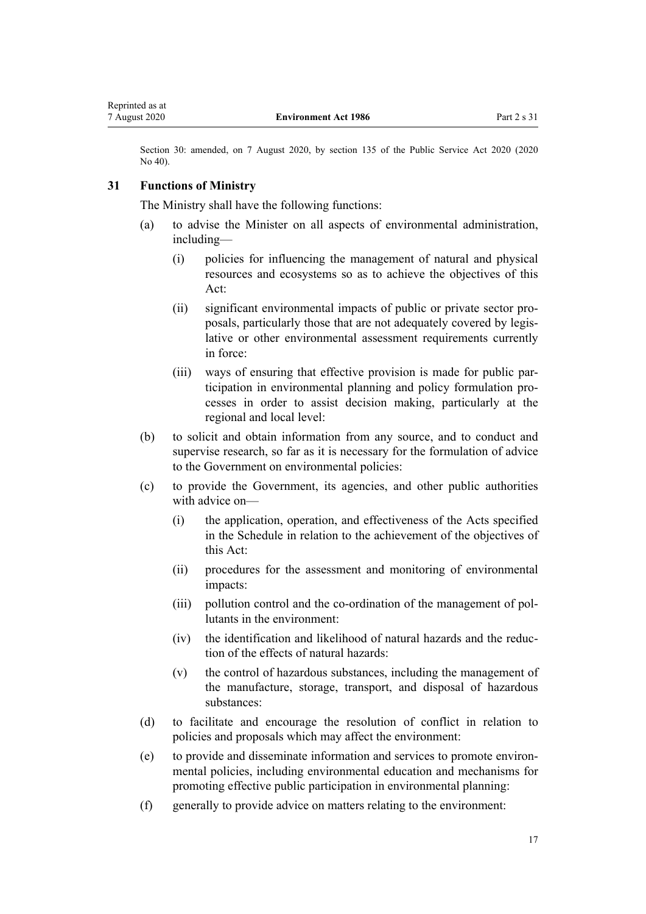<span id="page-16-0"></span>Section 30: amended, on 7 August 2020, by [section 135](http://legislation.govt.nz/pdflink.aspx?id=LMS176959) of the Public Service Act 2020 (2020 No 40).

#### **31 Functions of Ministry**

The Ministry shall have the following functions:

- (a) to advise the Minister on all aspects of environmental administration, including—
	- (i) policies for influencing the management of natural and physical resources and ecosystems so as to achieve the objectives of this Act:
	- (ii) significant environmental impacts of public or private sector proposals, particularly those that are not adequately covered by legislative or other environmental assessment requirements currently in force:
	- (iii) ways of ensuring that effective provision is made for public participation in environmental planning and policy formulation processes in order to assist decision making, particularly at the regional and local level:
- (b) to solicit and obtain information from any source, and to conduct and supervise research, so far as it is necessary for the formulation of advice to the Government on environmental policies:
- (c) to provide the Government, its agencies, and other public authorities with advice on—
	- (i) the application, operation, and effectiveness of the Acts specified in the [Schedule](#page-18-0) in relation to the achievement of the objectives of this Act:
	- (ii) procedures for the assessment and monitoring of environmental impacts:
	- (iii) pollution control and the co-ordination of the management of pollutants in the environment:
	- (iv) the identification and likelihood of natural hazards and the reduction of the effects of natural hazards:
	- (v) the control of hazardous substances, including the management of the manufacture, storage, transport, and disposal of hazardous substances:
- (d) to facilitate and encourage the resolution of conflict in relation to policies and proposals which may affect the environment:
- (e) to provide and disseminate information and services to promote environmental policies, including environmental education and mechanisms for promoting effective public participation in environmental planning:
- (f) generally to provide advice on matters relating to the environment: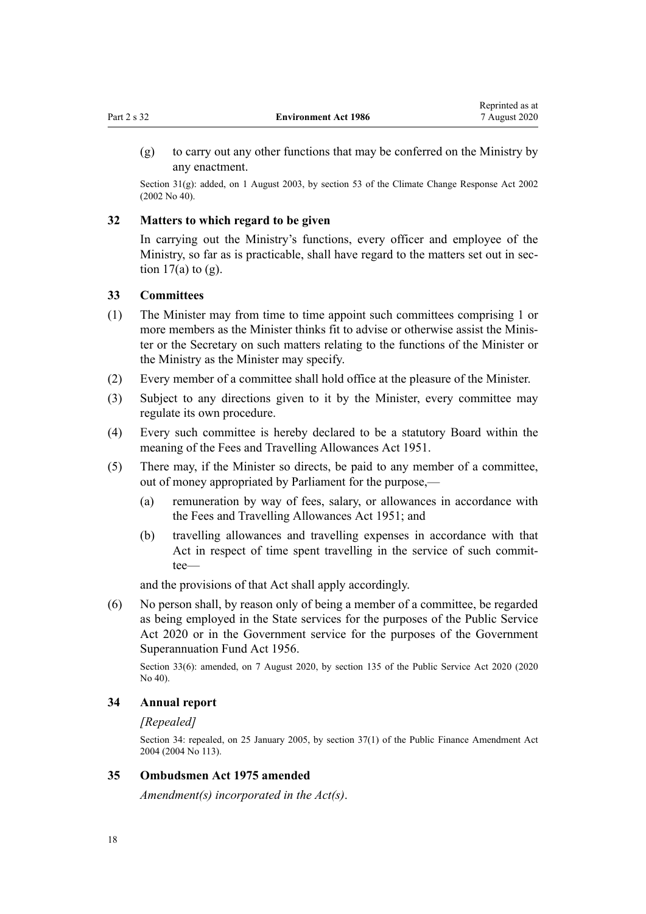<span id="page-17-0"></span>(g) to carry out any other functions that may be conferred on the Ministry by any enactment.

Section  $31(g)$ : added, on 1 August 2003, by [section 53](http://legislation.govt.nz/pdflink.aspx?id=DLM160013) of the Climate Change Response Act 2002 (2002 No 40).

# **32 Matters to which regard to be given**

In carrying out the Ministry's functions, every officer and employee of the Ministry, so far as is practicable, shall have regard to the matters set out in [sec](#page-9-0)tion  $17(a)$  to  $(g)$ .

# **33 Committees**

- (1) The Minister may from time to time appoint such committees comprising 1 or more members as the Minister thinks fit to advise or otherwise assist the Minister or the Secretary on such matters relating to the functions of the Minister or the Ministry as the Minister may specify.
- (2) Every member of a committee shall hold office at the pleasure of the Minister.
- (3) Subject to any directions given to it by the Minister, every committee may regulate its own procedure.
- (4) Every such committee is hereby declared to be a statutory Board within the meaning of the [Fees and Travelling Allowances Act 1951.](http://legislation.govt.nz/pdflink.aspx?id=DLM264952)
- (5) There may, if the Minister so directs, be paid to any member of a committee, out of money appropriated by Parliament for the purpose,—
	- (a) remuneration by way of fees, salary, or allowances in accordance with the [Fees and Travelling Allowances Act 1951;](http://legislation.govt.nz/pdflink.aspx?id=DLM264952) and
	- (b) travelling allowances and travelling expenses in accordance with that Act in respect of time spent travelling in the service of such committee—

and the provisions of that Act shall apply accordingly.

(6) No person shall, by reason only of being a member of a committee, be regarded as being employed in the State services for the purposes of the [Public Service](http://legislation.govt.nz/pdflink.aspx?id=LMS106157) [Act 2020](http://legislation.govt.nz/pdflink.aspx?id=LMS106157) or in the Government service for the purposes of the [Government](http://legislation.govt.nz/pdflink.aspx?id=DLM446000) [Superannuation Fund Act 1956](http://legislation.govt.nz/pdflink.aspx?id=DLM446000).

Section 33(6): amended, on 7 August 2020, by [section 135](http://legislation.govt.nz/pdflink.aspx?id=LMS176959) of the Public Service Act 2020 (2020) No 40).

# **34 Annual report**

#### *[Repealed]*

Section 34: repealed, on 25 January 2005, by [section 37\(1\)](http://legislation.govt.nz/pdflink.aspx?id=DLM328867) of the Public Finance Amendment Act 2004 (2004 No 113).

#### **35 Ombudsmen Act 1975 amended**

*Amendment(s) incorporated in the [Act\(s\)](http://legislation.govt.nz/pdflink.aspx?id=DLM431205)*.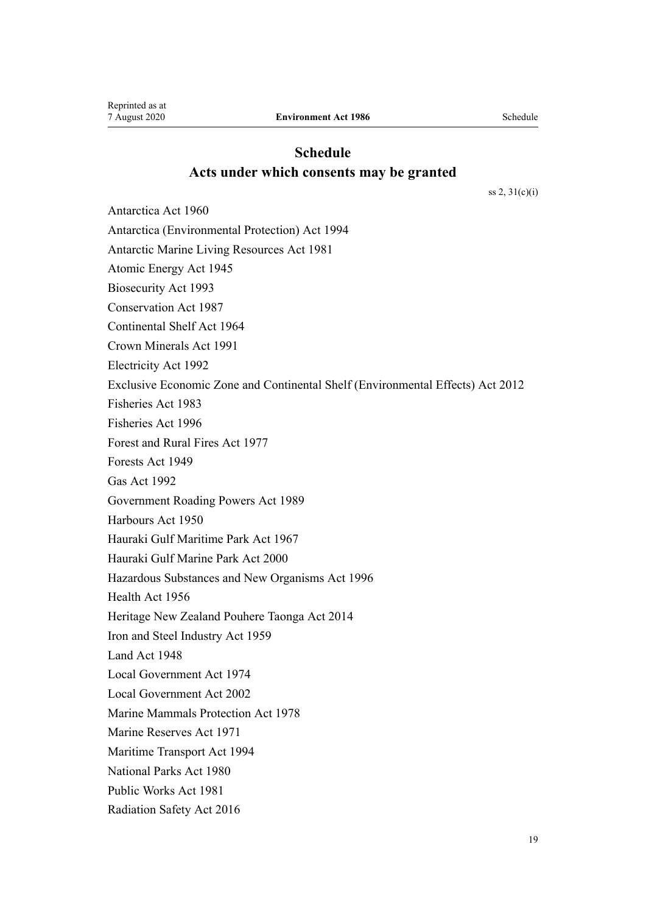# **Schedule Acts under which consents may be granted**

[ss 2](#page-2-0), [31\(c\)\(i\)](#page-16-0)

<span id="page-18-0"></span>[Antarctica Act 1960](http://legislation.govt.nz/pdflink.aspx?id=DLM325093) [Antarctica \(Environmental Protection\) Act 1994](http://legislation.govt.nz/pdflink.aspx?id=DLM342782) [Antarctic Marine Living Resources Act 1981](http://legislation.govt.nz/pdflink.aspx?id=DLM52828) [Atomic Energy Act 1945](http://legislation.govt.nz/pdflink.aspx?id=DLM239212) [Biosecurity Act 1993](http://legislation.govt.nz/pdflink.aspx?id=DLM314622) [Conservation Act 1987](http://legislation.govt.nz/pdflink.aspx?id=DLM103609) [Continental Shelf Act 1964](http://legislation.govt.nz/pdflink.aspx?id=DLM351638) [Crown Minerals Act 1991](http://legislation.govt.nz/pdflink.aspx?id=DLM242535) [Electricity Act 1992](http://legislation.govt.nz/pdflink.aspx?id=DLM281857) [Exclusive Economic Zone and Continental Shelf \(Environmental Effects\) Act 2012](http://legislation.govt.nz/pdflink.aspx?id=DLM3955410) [Fisheries Act 1983](http://legislation.govt.nz/pdflink.aspx?id=DLM66581) [Fisheries Act 1996](http://legislation.govt.nz/pdflink.aspx?id=DLM394191) [Forest and Rural Fires Act 1977](http://legislation.govt.nz/pdflink.aspx?id=DLM442946) [Forests Act 1949](http://legislation.govt.nz/pdflink.aspx?id=DLM255625) [Gas Act 1992](http://legislation.govt.nz/pdflink.aspx?id=DLM285411) [Government Roading Powers Act 1989](http://legislation.govt.nz/pdflink.aspx?id=DLM173368) Harbours Act 1950 Hauraki Gulf Maritime Park Act 1967 [Hauraki Gulf Marine Park Act 2000](http://legislation.govt.nz/pdflink.aspx?id=DLM52557) [Hazardous Substances and New Organisms Act 1996](http://legislation.govt.nz/pdflink.aspx?id=DLM381221) [Health Act 1956](http://legislation.govt.nz/pdflink.aspx?id=DLM305839) [Heritage New Zealand Pouhere Taonga Act 2014](http://legislation.govt.nz/pdflink.aspx?id=DLM4005402) Iron and Steel Industry Act 1959 [Land Act 1948](http://legislation.govt.nz/pdflink.aspx?id=DLM250585) [Local Government Act 1974](http://legislation.govt.nz/pdflink.aspx?id=DLM415531) [Local Government Act 2002](http://legislation.govt.nz/pdflink.aspx?id=DLM170872) [Marine Mammals Protection Act 1978](http://legislation.govt.nz/pdflink.aspx?id=DLM25110) [Marine Reserves Act 1971](http://legislation.govt.nz/pdflink.aspx?id=DLM397837) [Maritime Transport Act 1994](http://legislation.govt.nz/pdflink.aspx?id=DLM334659) [National Parks Act 1980](http://legislation.govt.nz/pdflink.aspx?id=DLM36962) [Public Works Act 1981](http://legislation.govt.nz/pdflink.aspx?id=DLM45426) [Radiation Safety Act 2016](http://legislation.govt.nz/pdflink.aspx?id=DLM6339500)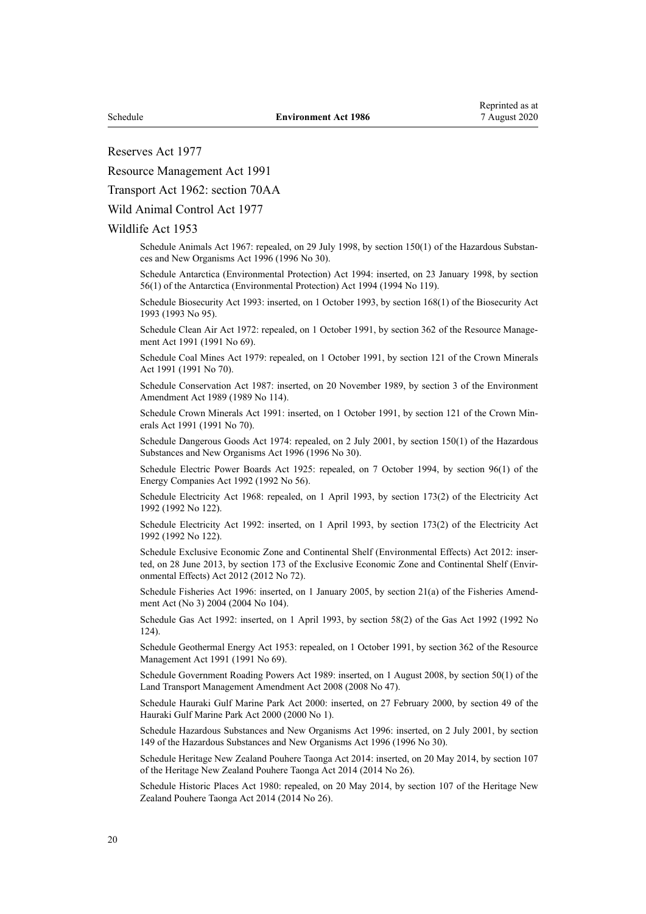[Reserves Act 1977](http://legislation.govt.nz/pdflink.aspx?id=DLM444304)

[Resource Management Act 1991](http://legislation.govt.nz/pdflink.aspx?id=DLM230264)

Transport Act 1962: [section 70AA](http://legislation.govt.nz/pdflink.aspx?id=DLM343740)

[Wild Animal Control Act 1977](http://legislation.govt.nz/pdflink.aspx?id=DLM16622)

#### [Wildlife Act 1953](http://legislation.govt.nz/pdflink.aspx?id=DLM276813)

Schedule Animals Act 1967: repealed, on 29 July 1998, by [section 150\(1\)](http://legislation.govt.nz/pdflink.aspx?id=DLM385161) of the Hazardous Substances and New Organisms Act 1996 (1996 No 30).

Schedule Antarctica (Environmental Protection) Act 1994: inserted, on 23 January 1998, by [section](http://legislation.govt.nz/pdflink.aspx?id=DLM343623) [56\(1\)](http://legislation.govt.nz/pdflink.aspx?id=DLM343623) of the Antarctica (Environmental Protection) Act 1994 (1994 No 119).

Schedule Biosecurity Act 1993: inserted, on 1 October 1993, by [section 168\(1\)](http://legislation.govt.nz/pdflink.aspx?id=DLM316769) of the Biosecurity Act 1993 (1993 No 95).

Schedule Clean Air Act 1972: repealed, on 1 October 1991, by [section 362](http://legislation.govt.nz/pdflink.aspx?id=DLM239393) of the Resource Management Act 1991 (1991 No 69).

Schedule Coal Mines Act 1979: repealed, on 1 October 1991, by [section 121](http://legislation.govt.nz/pdflink.aspx?id=DLM247364) of the Crown Minerals Act 1991 (1991 No 70).

Schedule Conservation Act 1987: inserted, on 20 November 1989, by section 3 of the Environment Amendment Act 1989 (1989 No 114).

Schedule Crown Minerals Act 1991: inserted, on 1 October 1991, by [section 121](http://legislation.govt.nz/pdflink.aspx?id=DLM247364) of the Crown Minerals Act 1991 (1991 No 70).

Schedule Dangerous Goods Act 1974: repealed, on 2 July 2001, by [section 150\(1\)](http://legislation.govt.nz/pdflink.aspx?id=DLM385161) of the Hazardous Substances and New Organisms Act 1996 (1996 No 30).

Schedule Electric Power Boards Act 1925: repealed, on 7 October 1994, by [section 96\(1\)](http://legislation.govt.nz/pdflink.aspx?id=DLM268395) of the Energy Companies Act 1992 (1992 No 56).

Schedule Electricity Act 1968: repealed, on 1 April 1993, by [section 173\(2\)](http://legislation.govt.nz/pdflink.aspx?id=DLM284137) of the Electricity Act 1992 (1992 No 122).

Schedule Electricity Act 1992: inserted, on 1 April 1993, by [section 173\(2\)](http://legislation.govt.nz/pdflink.aspx?id=DLM284137) of the Electricity Act 1992 (1992 No 122).

Schedule Exclusive Economic Zone and Continental Shelf (Environmental Effects) Act 2012: inserted, on 28 June 2013, by [section 173](http://legislation.govt.nz/pdflink.aspx?id=DLM3956363) of the Exclusive Economic Zone and Continental Shelf (Environmental Effects) Act 2012 (2012 No 72).

Schedule Fisheries Act 1996: inserted, on 1 January 2005, by [section 21\(a\)](http://legislation.govt.nz/pdflink.aspx?id=DLM324321) of the Fisheries Amendment Act (No 3) 2004 (2004 No 104).

Schedule Gas Act 1992: inserted, on 1 April 1993, by [section 58\(2\)](http://legislation.govt.nz/pdflink.aspx?id=DLM286566) of the Gas Act 1992 (1992 No 124).

Schedule Geothermal Energy Act 1953: repealed, on 1 October 1991, by [section 362](http://legislation.govt.nz/pdflink.aspx?id=DLM239393) of the Resource Management Act 1991 (1991 No 69).

Schedule Government Roading Powers Act 1989: inserted, on 1 August 2008, by [section 50\(1\)](http://legislation.govt.nz/pdflink.aspx?id=DLM1313622) of the Land Transport Management Amendment Act 2008 (2008 No 47).

Schedule Hauraki Gulf Marine Park Act 2000: inserted, on 27 February 2000, by [section 49](http://legislation.govt.nz/pdflink.aspx?id=DLM53193) of the Hauraki Gulf Marine Park Act 2000 (2000 No 1).

Schedule Hazardous Substances and New Organisms Act 1996: inserted, on 2 July 2001, by [section](http://legislation.govt.nz/pdflink.aspx?id=DLM385160) [149](http://legislation.govt.nz/pdflink.aspx?id=DLM385160) of the Hazardous Substances and New Organisms Act 1996 (1996 No 30).

Schedule Heritage New Zealand Pouhere Taonga Act 2014: inserted, on 20 May 2014, by [section 107](http://legislation.govt.nz/pdflink.aspx?id=DLM4005646) of the Heritage New Zealand Pouhere Taonga Act 2014 (2014 No 26).

Schedule Historic Places Act 1980: repealed, on 20 May 2014, by [section 107](http://legislation.govt.nz/pdflink.aspx?id=DLM4005646) of the Heritage New Zealand Pouhere Taonga Act 2014 (2014 No 26).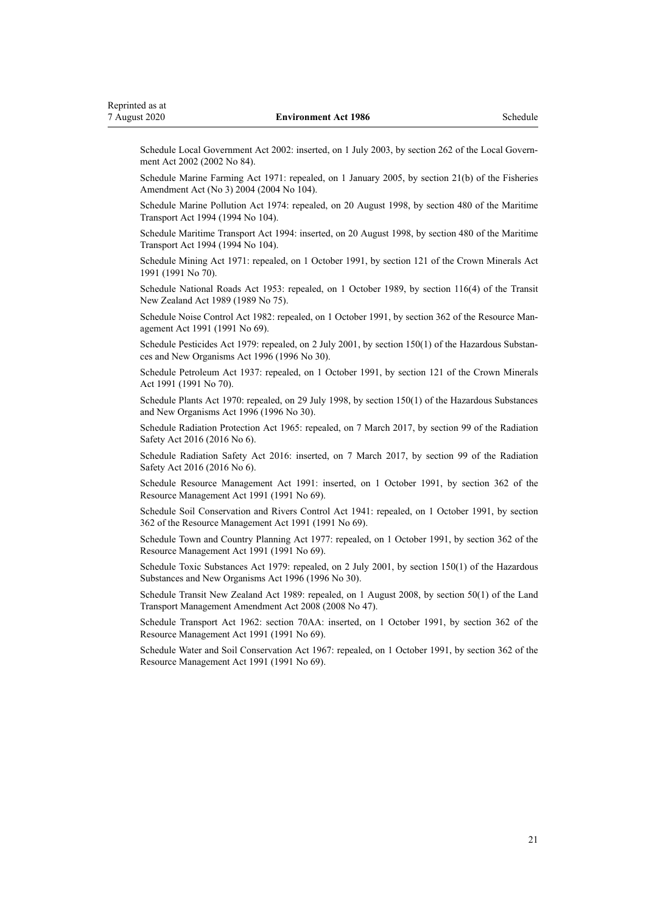Schedule Local Government Act 2002: inserted, on 1 July 2003, by [section 262](http://legislation.govt.nz/pdflink.aspx?id=DLM174088) of the Local Government Act 2002 (2002 No 84).

Schedule Marine Farming Act 1971: repealed, on 1 January 2005, by [section 21\(b\)](http://legislation.govt.nz/pdflink.aspx?id=DLM324321) of the Fisheries Amendment Act (No 3) 2004 (2004 No 104).

Schedule Marine Pollution Act 1974: repealed, on 20 August 1998, by [section 480](http://legislation.govt.nz/pdflink.aspx?id=DLM339220) of the Maritime Transport Act 1994 (1994 No 104).

Schedule Maritime Transport Act 1994: inserted, on 20 August 1998, by [section 480](http://legislation.govt.nz/pdflink.aspx?id=DLM339220) of the Maritime Transport Act 1994 (1994 No 104).

Schedule Mining Act 1971: repealed, on 1 October 1991, by [section 121](http://legislation.govt.nz/pdflink.aspx?id=DLM247364) of the Crown Minerals Act 1991 (1991 No 70).

Schedule National Roads Act 1953: repealed, on 1 October 1989, by [section 116\(4\)](http://legislation.govt.nz/pdflink.aspx?id=DLM175926) of the Transit New Zealand Act 1989 (1989 No 75).

Schedule Noise Control Act 1982: repealed, on 1 October 1991, by [section 362](http://legislation.govt.nz/pdflink.aspx?id=DLM239393) of the Resource Management Act 1991 (1991 No 69).

Schedule Pesticides Act 1979: repealed, on 2 July 2001, by [section 150\(1\)](http://legislation.govt.nz/pdflink.aspx?id=DLM385161) of the Hazardous Substances and New Organisms Act 1996 (1996 No 30).

Schedule Petroleum Act 1937: repealed, on 1 October 1991, by [section 121](http://legislation.govt.nz/pdflink.aspx?id=DLM247364) of the Crown Minerals Act 1991 (1991 No 70).

Schedule Plants Act 1970: repealed, on 29 July 1998, by [section 150\(1\)](http://legislation.govt.nz/pdflink.aspx?id=DLM385161) of the Hazardous Substances and New Organisms Act 1996 (1996 No 30).

Schedule Radiation Protection Act 1965: repealed, on 7 March 2017, by [section 99](http://legislation.govt.nz/pdflink.aspx?id=DLM6339763) of the Radiation Safety Act 2016 (2016 No 6).

Schedule Radiation Safety Act 2016: inserted, on 7 March 2017, by [section 99](http://legislation.govt.nz/pdflink.aspx?id=DLM6339763) of the Radiation Safety Act 2016 (2016 No 6).

Schedule Resource Management Act 1991: inserted, on 1 October 1991, by [section 362](http://legislation.govt.nz/pdflink.aspx?id=DLM239393) of the Resource Management Act 1991 (1991 No 69).

Schedule Soil Conservation and Rivers Control Act 1941: repealed, on 1 October 1991, by [section](http://legislation.govt.nz/pdflink.aspx?id=DLM239393) [362](http://legislation.govt.nz/pdflink.aspx?id=DLM239393) of the Resource Management Act 1991 (1991 No 69).

Schedule Town and Country Planning Act 1977: repealed, on 1 October 1991, by [section 362](http://legislation.govt.nz/pdflink.aspx?id=DLM239393) of the Resource Management Act 1991 (1991 No 69).

Schedule Toxic Substances Act 1979: repealed, on 2 July 2001, by [section 150\(1\)](http://legislation.govt.nz/pdflink.aspx?id=DLM385161) of the Hazardous Substances and New Organisms Act 1996 (1996 No 30).

Schedule Transit New Zealand Act 1989: repealed, on 1 August 2008, by [section 50\(1\)](http://legislation.govt.nz/pdflink.aspx?id=DLM1313622) of the Land Transport Management Amendment Act 2008 (2008 No 47).

Schedule Transport Act 1962: section 70AA: inserted, on 1 October 1991, by [section 362](http://legislation.govt.nz/pdflink.aspx?id=DLM239393) of the Resource Management Act 1991 (1991 No 69).

Schedule Water and Soil Conservation Act 1967: repealed, on 1 October 1991, by [section 362](http://legislation.govt.nz/pdflink.aspx?id=DLM239393) of the Resource Management Act 1991 (1991 No 69).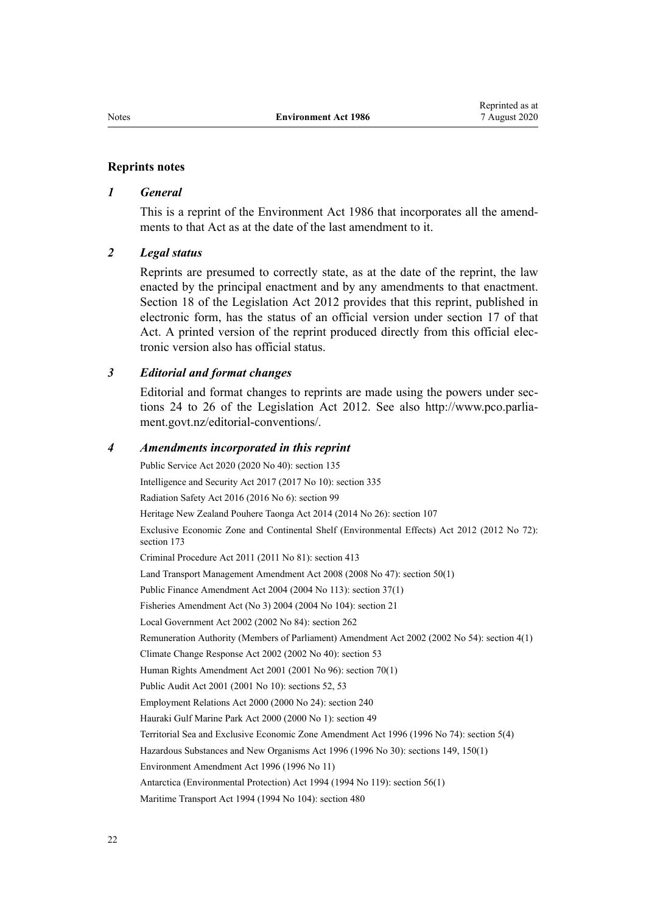#### **Reprints notes**

#### *1 General*

This is a reprint of the Environment Act 1986 that incorporates all the amendments to that Act as at the date of the last amendment to it.

#### *2 Legal status*

Reprints are presumed to correctly state, as at the date of the reprint, the law enacted by the principal enactment and by any amendments to that enactment. [Section 18](http://legislation.govt.nz/pdflink.aspx?id=DLM2998516) of the Legislation Act 2012 provides that this reprint, published in electronic form, has the status of an official version under [section 17](http://legislation.govt.nz/pdflink.aspx?id=DLM2998515) of that Act. A printed version of the reprint produced directly from this official electronic version also has official status.

#### *3 Editorial and format changes*

Editorial and format changes to reprints are made using the powers under [sec](http://legislation.govt.nz/pdflink.aspx?id=DLM2998532)[tions 24 to 26](http://legislation.govt.nz/pdflink.aspx?id=DLM2998532) of the Legislation Act 2012. See also [http://www.pco.parlia](http://www.pco.parliament.govt.nz/editorial-conventions/)[ment.govt.nz/editorial-conventions/](http://www.pco.parliament.govt.nz/editorial-conventions/).

#### *4 Amendments incorporated in this reprint*

Public Service Act 2020 (2020 No 40): [section 135](http://legislation.govt.nz/pdflink.aspx?id=LMS176959) Intelligence and Security Act 2017 (2017 No 10): [section 335](http://legislation.govt.nz/pdflink.aspx?id=DLM6921475) Radiation Safety Act 2016 (2016 No 6): [section 99](http://legislation.govt.nz/pdflink.aspx?id=DLM6339763) Heritage New Zealand Pouhere Taonga Act 2014 (2014 No 26): [section 107](http://legislation.govt.nz/pdflink.aspx?id=DLM4005646) Exclusive Economic Zone and Continental Shelf (Environmental Effects) Act 2012 (2012 No 72): [section 173](http://legislation.govt.nz/pdflink.aspx?id=DLM3956363) Criminal Procedure Act 2011 (2011 No 81): [section 413](http://legislation.govt.nz/pdflink.aspx?id=DLM3360714) Land Transport Management Amendment Act 2008 (2008 No 47): [section 50\(1\)](http://legislation.govt.nz/pdflink.aspx?id=DLM1313622) Public Finance Amendment Act 2004 (2004 No 113): [section 37\(1\)](http://legislation.govt.nz/pdflink.aspx?id=DLM328867) Fisheries Amendment Act (No 3) 2004 (2004 No 104): [section 21](http://legislation.govt.nz/pdflink.aspx?id=DLM324321) Local Government Act 2002 (2002 No 84): [section 262](http://legislation.govt.nz/pdflink.aspx?id=DLM174088) Remuneration Authority (Members of Parliament) Amendment Act 2002 (2002 No 54): [section 4\(1\)](http://legislation.govt.nz/pdflink.aspx?id=DLM167443) Climate Change Response Act 2002 (2002 No 40): [section 53](http://legislation.govt.nz/pdflink.aspx?id=DLM160013) Human Rights Amendment Act 2001 (2001 No 96): [section 70\(1\)](http://legislation.govt.nz/pdflink.aspx?id=DLM122579) Public Audit Act 2001 (2001 No 10): [sections 52](http://legislation.govt.nz/pdflink.aspx?id=DLM88956), [53](http://legislation.govt.nz/pdflink.aspx?id=DLM88957) Employment Relations Act 2000 (2000 No 24): [section 240](http://legislation.govt.nz/pdflink.aspx?id=DLM61487) Hauraki Gulf Marine Park Act 2000 (2000 No 1)[: section 49](http://legislation.govt.nz/pdflink.aspx?id=DLM53193) Territorial Sea and Exclusive Economic Zone Amendment Act 1996 (1996 No 74): section 5(4) Hazardous Substances and New Organisms Act 1996 (1996 No 30): [sections 149](http://legislation.govt.nz/pdflink.aspx?id=DLM385160), [150\(1\)](http://legislation.govt.nz/pdflink.aspx?id=DLM385161) Environment Amendment Act 1996 (1996 No 11) Antarctica (Environmental Protection) Act 1994 (1994 No 119): [section 56\(1\)](http://legislation.govt.nz/pdflink.aspx?id=DLM343623) Maritime Transport Act 1994 (1994 No 104): [section 480](http://legislation.govt.nz/pdflink.aspx?id=DLM339220)